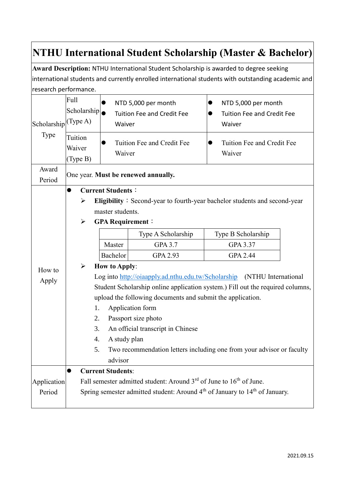## **NTHU International Student Scholarship (Master & Bachelor)**

**Award Description:** NTHU International Student Scholarship is awarded to degree seeking international students and currently enrolled international students with outstanding academic and research performance.

| Scholarship<br>Type   | Full<br>Scholarship<br>(Type A)<br>Tuition<br>Waiver | Waiver<br>Waiver                                                                                                                                                                                                                                                                                                                                                                                                                                                  | NTD 5,000 per month<br><b>Tuition Fee and Credit Fee</b><br>Tuition Fee and Credit Fee | NTD 5,000 per month<br><b>Tuition Fee and Credit Fee</b><br>Waiver<br>Tuition Fee and Credit Fee<br>Waiver |  |  |  |
|-----------------------|------------------------------------------------------|-------------------------------------------------------------------------------------------------------------------------------------------------------------------------------------------------------------------------------------------------------------------------------------------------------------------------------------------------------------------------------------------------------------------------------------------------------------------|----------------------------------------------------------------------------------------|------------------------------------------------------------------------------------------------------------|--|--|--|
|                       | (Type B)                                             |                                                                                                                                                                                                                                                                                                                                                                                                                                                                   |                                                                                        |                                                                                                            |  |  |  |
| Award<br>Period       |                                                      | One year. Must be renewed annually.                                                                                                                                                                                                                                                                                                                                                                                                                               |                                                                                        |                                                                                                            |  |  |  |
| How to<br>Apply       | $\bullet$<br>➤<br>$\blacktriangleright$              | <b>Current Students:</b><br>Eligibility: Second-year to fourth-year bachelor students and second-year<br>master students.<br><b>GPA Requirement:</b>                                                                                                                                                                                                                                                                                                              |                                                                                        |                                                                                                            |  |  |  |
|                       |                                                      |                                                                                                                                                                                                                                                                                                                                                                                                                                                                   | Type A Scholarship                                                                     | Type B Scholarship                                                                                         |  |  |  |
|                       |                                                      | Master                                                                                                                                                                                                                                                                                                                                                                                                                                                            | GPA 3.7                                                                                | GPA 3.37                                                                                                   |  |  |  |
|                       |                                                      | Bachelor                                                                                                                                                                                                                                                                                                                                                                                                                                                          | GPA 2.93                                                                               | <b>GPA 2.44</b>                                                                                            |  |  |  |
|                       | $\blacktriangleright$                                | <b>How to Apply:</b><br>Log into http://oiaapply.ad.nthu.edu.tw/Scholarship (NTHU International<br>Student Scholarship online application system.) Fill out the required columns,<br>upload the following documents and submit the application.<br>Application form<br>1.<br>Passport size photo<br>2.<br>3.<br>An official transcript in Chinese<br>4.<br>A study plan<br>Two recommendation letters including one from your advisor or faculty<br>5.<br>advisor |                                                                                        |                                                                                                            |  |  |  |
|                       | <b>Current Students:</b><br>$\bullet$                |                                                                                                                                                                                                                                                                                                                                                                                                                                                                   |                                                                                        |                                                                                                            |  |  |  |
| Application<br>Period |                                                      | Fall semester admitted student: Around $3rd$ of June to $16th$ of June.<br>Spring semester admitted student: Around 4 <sup>th</sup> of January to 14 <sup>th</sup> of January.                                                                                                                                                                                                                                                                                    |                                                                                        |                                                                                                            |  |  |  |